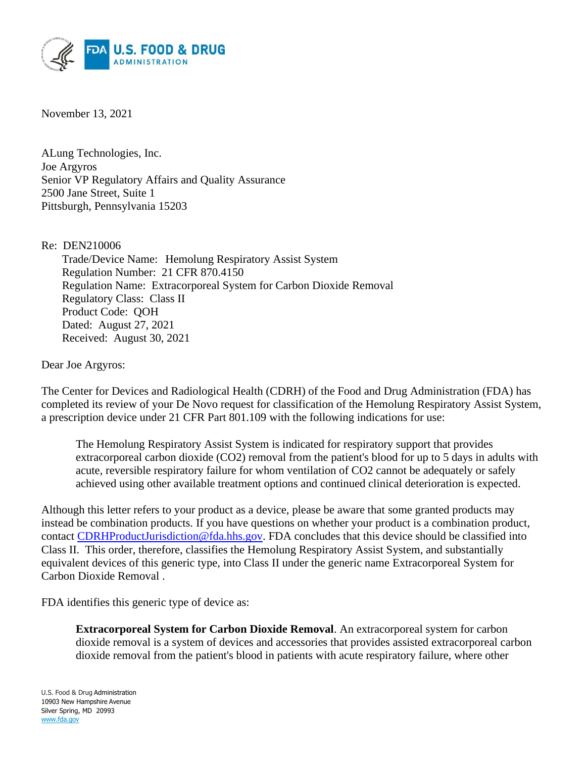

November 13, 2021

ALung Technologies, Inc. Joe Argyros Senior VP Regulatory Affairs and Quality Assurance 2500 Jane Street, Suite 1 Pittsburgh, Pennsylvania 15203

Re: DEN210006

Trade/Device Name: Hemolung Respiratory Assist System Regulation Number: 21 CFR 870.4150 Regulation Name: Extracorporeal System for Carbon Dioxide Removal Regulatory Class: Class II Product Code: QOH Dated: August 27, 2021 Received: August 30, 2021

Dear Joe Argyros:

The Center for Devices and Radiological Health (CDRH) of the Food and Drug Administration (FDA) has completed its review of your De Novo request for classification of the Hemolung Respiratory Assist System, a prescription device under 21 CFR Part 801.109 with the following indications for use:

The Hemolung Respiratory Assist System is indicated for respiratory support that provides extracorporeal carbon dioxide (CO2) removal from the patient's blood for up to 5 days in adults with acute, reversible respiratory failure for whom ventilation of CO2 cannot be adequately or safely achieved using other available treatment options and continued clinical deterioration is expected.

Although this letter refers to your product as a device, please be aware that some granted products may instead be combination products. If you have questions on whether your product is a combination product, contact [CDRHProductJurisdiction@fda.hhs.gov.](mailto:%20CDRHProductJurisdiction@fda.hhs.gov) FDA concludes that this device should be classified into Class II. This order, therefore, classifies the Hemolung Respiratory Assist System, and substantially equivalent devices of this generic type, into Class II under the generic name Extracorporeal System for Carbon Dioxide Removal .

FDA identifies this generic type of device as:

**Extracorporeal System for Carbon Dioxide Removal**. An extracorporeal system for carbon dioxide removal is a system of devices and accessories that provides assisted extracorporeal carbon dioxide removal from the patient's blood in patients with acute respiratory failure, where other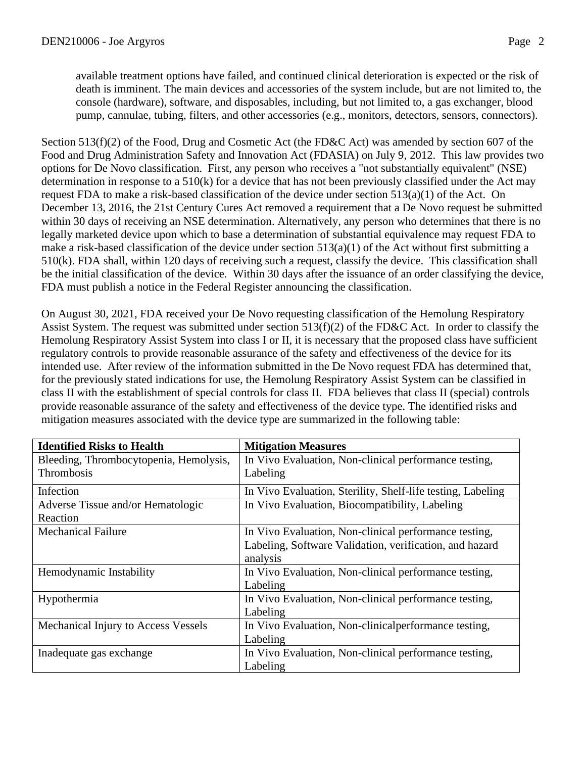available treatment options have failed, and continued clinical deterioration is expected or the risk of death is imminent. The main devices and accessories of the system include, but are not limited to, the console (hardware), software, and disposables, including, but not limited to, a gas exchanger, blood pump, cannulae, tubing, filters, and other accessories (e.g., monitors, detectors, sensors, connectors).

Section 513(f)(2) of the Food, Drug and Cosmetic Act (the FD&C Act) was amended by section 607 of the Food and Drug Administration Safety and Innovation Act (FDASIA) on July 9, 2012. This law provides two options for De Novo classification. First, any person who receives a "not substantially equivalent" (NSE) determination in response to a 510(k) for a device that has not been previously classified under the Act may request FDA to make a risk-based classification of the device under section 513(a)(1) of the Act. On December 13, 2016, the 21st Century Cures Act removed a requirement that a De Novo request be submitted within 30 days of receiving an NSE determination. Alternatively, any person who determines that there is no legally marketed device upon which to base a determination of substantial equivalence may request FDA to make a risk-based classification of the device under section 513(a)(1) of the Act without first submitting a 510(k). FDA shall, within 120 days of receiving such a request, classify the device. This classification shall be the initial classification of the device. Within 30 days after the issuance of an order classifying the device, FDA must publish a notice in the Federal Register announcing the classification.

On August 30, 2021, FDA received your De Novo requesting classification of the Hemolung Respiratory Assist System. The request was submitted under section 513(f)(2) of the FD&C Act. In order to classify the Hemolung Respiratory Assist System into class I or II, it is necessary that the proposed class have sufficient regulatory controls to provide reasonable assurance of the safety and effectiveness of the device for its intended use. After review of the information submitted in the De Novo request FDA has determined that, for the previously stated indications for use, the Hemolung Respiratory Assist System can be classified in class II with the establishment of special controls for class II. FDA believes that class II (special) controls provide reasonable assurance of the safety and effectiveness of the device type. The identified risks and mitigation measures associated with the device type are summarized in the following table:

| <b>Identified Risks to Health</b>      | <b>Mitigation Measures</b>                                  |
|----------------------------------------|-------------------------------------------------------------|
| Bleeding, Thrombocytopenia, Hemolysis, | In Vivo Evaluation, Non-clinical performance testing,       |
| Thrombosis                             | Labeling                                                    |
| Infection                              | In Vivo Evaluation, Sterility, Shelf-life testing, Labeling |
| Adverse Tissue and/or Hematologic      | In Vivo Evaluation, Biocompatibility, Labeling              |
| Reaction                               |                                                             |
| <b>Mechanical Failure</b>              | In Vivo Evaluation, Non-clinical performance testing,       |
|                                        | Labeling, Software Validation, verification, and hazard     |
|                                        | analysis                                                    |
| Hemodynamic Instability                | In Vivo Evaluation, Non-clinical performance testing,       |
|                                        | Labeling                                                    |
| Hypothermia                            | In Vivo Evaluation, Non-clinical performance testing,       |
|                                        | Labeling                                                    |
| Mechanical Injury to Access Vessels    | In Vivo Evaluation, Non-clinical performance testing,       |
|                                        | Labeling                                                    |
| Inadequate gas exchange                | In Vivo Evaluation, Non-clinical performance testing,       |
|                                        | Labeling                                                    |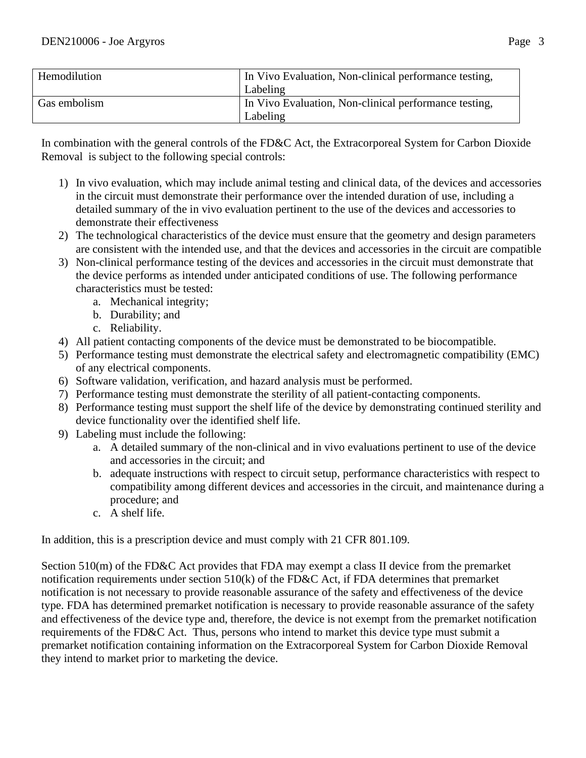| Hemodilution | In Vivo Evaluation, Non-clinical performance testing, |
|--------------|-------------------------------------------------------|
|              | Labeling                                              |
| Gas embolism | In Vivo Evaluation, Non-clinical performance testing, |
|              | Labeling                                              |

In combination with the general controls of the FD&C Act, the Extracorporeal System for Carbon Dioxide Removal is subject to the following special controls:

- 1) In vivo evaluation, which may include animal testing and clinical data, of the devices and accessories in the circuit must demonstrate their performance over the intended duration of use, including a detailed summary of the in vivo evaluation pertinent to the use of the devices and accessories to demonstrate their effectiveness
- 2) The technological characteristics of the device must ensure that the geometry and design parameters are consistent with the intended use, and that the devices and accessories in the circuit are compatible
- 3) Non-clinical performance testing of the devices and accessories in the circuit must demonstrate that the device performs as intended under anticipated conditions of use. The following performance characteristics must be tested:
	- a. Mechanical integrity;
	- b. Durability; and
	- c. Reliability.
- 4) All patient contacting components of the device must be demonstrated to be biocompatible.
- 5) Performance testing must demonstrate the electrical safety and electromagnetic compatibility (EMC) of any electrical components.
- 6) Software validation, verification, and hazard analysis must be performed.
- 7) Performance testing must demonstrate the sterility of all patient-contacting components.
- 8) Performance testing must support the shelf life of the device by demonstrating continued sterility and device functionality over the identified shelf life.
- 9) Labeling must include the following:
	- a. A detailed summary of the non-clinical and in vivo evaluations pertinent to use of the device and accessories in the circuit; and
	- b. adequate instructions with respect to circuit setup, performance characteristics with respect to compatibility among different devices and accessories in the circuit, and maintenance during a procedure; and
	- c. A shelf life.

In addition, this is a prescription device and must comply with 21 CFR 801.109.

Section 510(m) of the FD&C Act provides that FDA may exempt a class II device from the premarket notification requirements under section 510(k) of the FD&C Act, if FDA determines that premarket notification is not necessary to provide reasonable assurance of the safety and effectiveness of the device type. FDA has determined premarket notification is necessary to provide reasonable assurance of the safety and effectiveness of the device type and, therefore, the device is not exempt from the premarket notification requirements of the FD&C Act. Thus, persons who intend to market this device type must submit a premarket notification containing information on the Extracorporeal System for Carbon Dioxide Removal they intend to market prior to marketing the device.